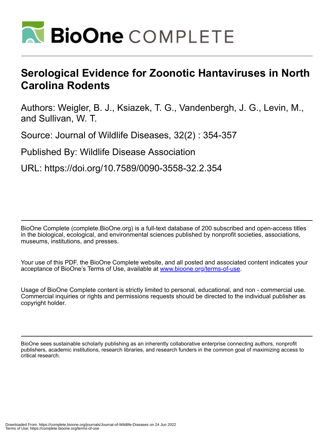

## **Serological Evidence for Zoonotic Hantaviruses in North Carolina Rodents**

Authors: Weigler, B. J., Ksiazek, T. G., Vandenbergh, J. G., Levin, M., and Sullivan, W. T.

Source: Journal of Wildlife Diseases, 32(2) : 354-357

Published By: Wildlife Disease Association

URL: https://doi.org/10.7589/0090-3558-32.2.354

BioOne Complete (complete.BioOne.org) is a full-text database of 200 subscribed and open-access titles in the biological, ecological, and environmental sciences published by nonprofit societies, associations, museums, institutions, and presses.

Your use of this PDF, the BioOne Complete website, and all posted and associated content indicates your acceptance of BioOne's Terms of Use, available at www.bioone.org/terms-of-use.

Usage of BioOne Complete content is strictly limited to personal, educational, and non - commercial use. Commercial inquiries or rights and permissions requests should be directed to the individual publisher as copyright holder.

BioOne sees sustainable scholarly publishing as an inherently collaborative enterprise connecting authors, nonprofit publishers, academic institutions, research libraries, and research funders in the common goal of maximizing access to critical research.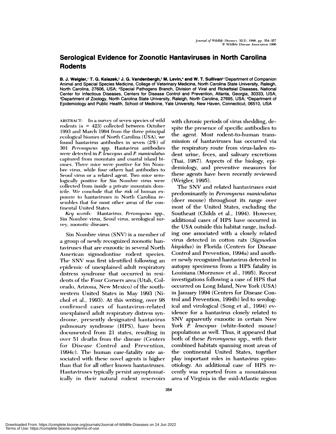## Serological Evidence for Zoonotic Hantaviruses in North Carolina **Rodents**

B. J. Weigler, ' T. G. Ksiazek, 2 J. G. Vandenbergh, 3 M. Levin, 4 and W. T. Sullivan<sup>3</sup> 'Department of Companion Animal and Special Species Medicine, College of Veterinary Medicine, North Carolina State University, Raleigh, North Carolina, 27606, USA; <sup>2</sup>Special Pathogens Branch, Division of Viral and Rickettsial Diseases, National Center for Infectious Diseases, Centers for Disease Control and Prevention, Atlanta, Georgia, 30333, USA; <sup>3</sup>Department of Zoology, North Carolina State University, Raleigh, North Carolina, 27695, USA; <sup>4</sup>Department of Epidemiology and Public Health, School of Medicine, Yale University, New Haven, Connecticut, 06510, USA

ABSTRACT: In a survey of seven species of wild rodents ( $n = 423$ ) collected between October 1993 and March 1994 from the three principal ecological biomes of North Carolina (USA), we found hantavirus antibodies in seven (2%) of 301 Peromyscus spp. Hantavirus antibodies were detected in P. leucopus and P. maniculatus captured from mountain and coastal island biomes. Three mice were positive for Sin Nombre virus, while four others had antibodies to Seoul virus or a related agent. Two mice serologically positive for Sin Nombre virus were collected from inside a private mountain domicile. We conclude that the risk of human exposure to hantaviruses in North Carolina resembles that for most other areas of the continental United States.

Key words: Hantavirus, Peromyscus spp., Sin Nombre virus, Seoul virus, serological survev. zoonotic diseases.

Sin Nombre virus (SNV) is a member of a group of newly recognized zoonotic hantaviruses that are enzootic in several North American sigmodontine rodent species. The SNV was first identified following an epidemic of unexplained adult respiratory distress syndrome that occurred in residents of the Four Corners area (Utah, Colorado, Arizona, New Mexico) of the southwestern United States in May 1993 (Nichol et al., 1993). At this writing, over 98 confirmed cases of hantavirus-related unexplained adult respiratory distress syndrome, presently designated hantavirus pulmonary syndrome (HPS), have been documented from 21 states, resulting in over 51 deaths from the disease (Centers for Disease Control and Prevention, 1994c). The human case-fatality rate associated with these novel agents is higher than that for all other known hantaviruses. Hantaviruses typically persist asymptomatically in their natural rodent reservoirs with chronic periods of virus shedding, despite the presence of specific antibodies to the agent. Most rodent-to-human transmission of hantaviruses has occurred via the respiratory route from virus-laden rodent urine, feces, and salivary excretions (Tsai, 1987). Aspects of the biology, epidemiology, and preventive measures for these agents have been recently reviewed (Weigler, 1995).

The SNV and related hantaviruses exist predominantly in Peromyscus maniculatus (deer mouse) throughout its range over most of the United States, excluding the Southeast (Childs et al., 1994). However, additional cases of HPS have occurred in the USA outside this habitat range, including one associated with a closely related virus detected in cotton rats (Sigmodon hispidus) in Florida (Centers for Disease Control and Prevention, 1994a) and another newly recognized hantavirus detected in autopsy specimens from a HPS fatality in Louisiana (Morzunov et al., 1995). Recent investigations following a case of HPS that occurred on Long Island, New York (USA) in January 1994 (Centers for Disease Control and Prevention, 1994b) led to serological and virological (Song et al., 1994) evidence for a hantavirus closely related to SNV apparently enzootic in certain New York P. leucopus (white-footed mouse) populations as well. Thus, it appeared that both of these *Peromyscus* spp., with their combined habitats spanning most areas of the continental United States, together play important roles in hantavirus epizootiology. An additional case of HPS recently was reported from a mountainous area of Virginia in the mid-Atlantic region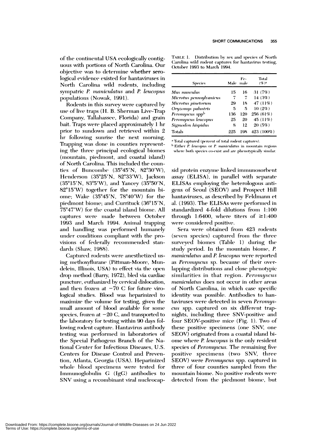of the continental USA ecologically contiguous with portions of North Carolina. Our objective was to determine whether serological evidence existed for hantaviruses in North Carolina wild rodents, including sympatric P. maniculatus and P. leucopus populations (Nowak, 1991).

Rodents in this survey were captured by use of live traps (H. B. Sherman Live-Trap Company, Tallahassee, Florida) and grain bait. Traps were placed approximately 1 hr prior to sundown and retrieved within 2 hr following sunrise the next morning. Trapping was done in counties representing the three principal ecological biomes (mountain, piedmont, and coastal island) of North Carolina. This included the counties of Buncombe  $(35^{\circ}45'N, 82^{\circ}30'W)$ , Henderson (35°25'N, 82°33'W), Jackson  $(35^{\circ}15'N, 83^{\circ}5'W)$ , and Yancey  $(35^{\circ}50'N,$  $82^{\circ}15'W$ ) together for the mountain biome; Wake (35°45'N, 78°40'W) for the piedmont biome; and Currituck (36°15'N, 75°47′W) for the coastal island biome. All captures were made between October 1993 and March 1994. Animal trapping and handling was performed humanely under conditions compliant with the provisions of federally recommended standards (Shaw, 1988).

Captured rodents were anesthetized using methoxyflurane (Pittman-Moore, Mundelein, Illinois, USA) to effect via the open drop method (Barry, 1972), bled via cardiac puncture, euthanized by cervical dislocation, and then frozen at  $-70$  C for future virological studies. Blood was heparinized to maximize the volume for testing, given the small amount of blood available for some species, frozen at  $-20$  C, and transported to the laboratory for testing within 90 days following rodent capture. Hantavirus antibody testing was performed in laboratories of the Special Pathogens Branch of the National Center for Infectious Diseases, U.S. Centers for Disease Control and Prevention, Atlanta, Georgia (USA). Heparinized whole blood specimens were tested for Immunoglobulin G (IgG) antibodies to SNV using a recombinant viral nucleocap-

TABLE 1. Distribution by sex and species of North Carolina wild rodent captures for hantavirus testing, October 1993 to March 1994.

| <b>Species</b>              | Male | Fe-<br>male | Total<br>$($ % ) $^{\rm a}$ |
|-----------------------------|------|-------------|-----------------------------|
| Mus musculus                | 15   | 16          | 31(7%)                      |
| Microtus pennsylvanicus     | 7    | 7           | 14 $(3%)$                   |
| Microtus pinetorum          | 29   | 18          | 47 (11%)                    |
| Oryzomys palustris          | 5    | 5           | $10(2\%)$                   |
| Peromyscus spp <sup>b</sup> | 136  | 120         | 256 (61%)                   |
| Peromyscus leucopus         | 25   | 20          | 45 (11%)                    |
| Sigmodon hispidus           | 8    | 12          | 20(5%)                      |
| <b>Totals</b>               | 225  | 198         | 423 (100%)                  |

<sup>a</sup> Total captured (percent of total rodent captures).

<sup>b</sup> Either *P. leucopus* or *P. maniculatus* in mountain regions where both species co-exist and are phenotypically similar.

sid protein enzyme linked immunosorbent assay (ELISA), in parallel with separate ELISAs employing the heterologous antigens of Seoul (SEOV) and Prospect Hill hantaviruses, as described by Feldmann et al. (1993). The ELISAs were performed in standardized 4-fold dilutions from 1:100 through 1:6400, where titers of  $\geq$ 1:400 were considered positive.

Sera were obtained from 423 rodents (seven species) captured from the three surveyed biomes (Table 1) during the study period. In the mountain biome, P. maniculatus and P. leucopus were reported as Peromyscus sp. because of their overlapping distributions and close phenotypic similarities in that region. Peromyscus *maniculatus* does not occur in other areas of North Carolina, in which case specific identity was possible. Antibodies to hantaviruses were detected in seven Peromyscus spp. captured on six different trapnights, including three SNV-positive and four SEOV-positive mice (Fig. 1). Two of these positive specimens (one SNV, one SEOV) originated from a coastal island biome where P. leucopus is the only resident species of *Peromyscus*. The remaining five positive specimens (two SNV, three SEOV) were *Peromyscus* spp. captured in three of four counties sampled from the mountain biome. No positive rodents were detected from the piedmont biome, but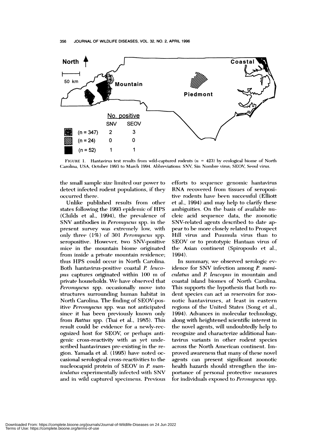

FIGURE 1. Hantavirus test results from wild-captured rodents  $(n = 423)$  by ecological biome of North Carolina, USA, October 1993 to March 1994. Abbreviations: SNV, Sin Nombre virus; SEOV, Seoul virus.

the small sample size limited our power to detect infected rodent populations, if they occurred there.

Unlike published results from other states following the 1993 epidemic of HPS (Childs et al., 1994), the prevalence of SNV antibodies in Peromyscus spp. in the present survey was extremely low, with only three (1%) of 301 Peromyscus spp. seropositive. However, two SNV-positive mice in the mountain biome originated from inside a private mountain residence; thus HPS could occur in North Carolina. Both hantavirus-positive coastal P. leucopus captures originated within 100 m of private households. We have observed that *Peromyscus* spp. occasionally move into structures surrounding human habitat in North Carolina. The finding of SEOV-positive Peromyscus spp. was not anticipated since it has been previously known only from Rattus spp. (Tsai et al., 1985). This result could be evidence for a newly-recognized host for SEOV, or perhaps antigenic cross-reactivity with as yet undescribed hantaviruses pre-existing in the region. Yamada et al. (1995) have noted occasional serological cross-reactivities to the nucleocapsid protein of SEOV in P. maniculatus experimentally infected with SNV and in wild captured specimens. Previous efforts to sequence genomic hantavirus RNA recovered from tissues of seropositive rodents have been successful (Elliott et al., 1994) and may help to clarify these ambiguities. On the basis of available nucleic acid sequence data, the zoonotic SNV-related agents described to date appear to be more closely related to Prospect Hill virus and Puumula virus than to SEOV or to prototypic Hantaan virus of the Asian continent (Spiropoulo et al.,  $1994.$ 

In summary, we observed serologic evidence for SNV infection among P. maniculatus and P. leucopus in mountain and coastal island biomes of North Carolina. This supports the hypothesis that both rodent species can act as reservoirs for zoonotic hantaviruses, at least in eastern regions of the United States (Song et al., 1994). Advances in molecular technology, along with heightened scientific interest in the novel agents, will undoubtedly help to recognize and characterize additional hantavirus variants in other rodent species across the North American continent. Improved awareness that many of these novel agents can present significant zoonotic health hazards should strengthen the importance of personal protective measures for individuals exposed to Peromyscus spp.